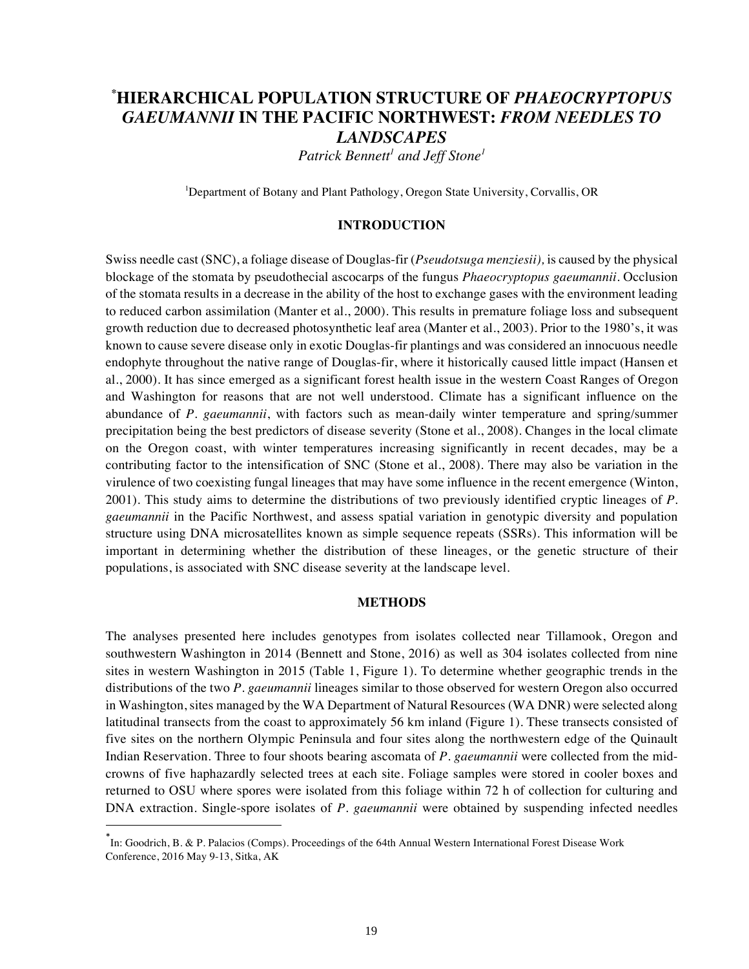# **\* HIERARCHICAL POPULATION STRUCTURE OF** *PHAEOCRYPTOPUS GAEUMANNII* **IN THE PACIFIC NORTHWEST:** *FROM NEEDLES TO LANDSCAPES*

 $P$ atrick Bennett<sup>1</sup> and Jeff Stone<sup>1</sup>

<sup>1</sup>Department of Botany and Plant Pathology, Oregon State University, Corvallis, OR

## **INTRODUCTION**

Swiss needle cast (SNC), a foliage disease of Douglas-fir (*Pseudotsuga menziesii),* is caused by the physical blockage of the stomata by pseudothecial ascocarps of the fungus *Phaeocryptopus gaeumannii.* Occlusion of the stomata results in a decrease in the ability of the host to exchange gases with the environment leading to reduced carbon assimilation (Manter et al., 2000). This results in premature foliage loss and subsequent growth reduction due to decreased photosynthetic leaf area (Manter et al., 2003). Prior to the 1980's, it was known to cause severe disease only in exotic Douglas-fir plantings and was considered an innocuous needle endophyte throughout the native range of Douglas-fir, where it historically caused little impact (Hansen et al., 2000). It has since emerged as a significant forest health issue in the western Coast Ranges of Oregon and Washington for reasons that are not well understood. Climate has a significant influence on the abundance of *P. gaeumannii*, with factors such as mean-daily winter temperature and spring/summer precipitation being the best predictors of disease severity (Stone et al., 2008). Changes in the local climate on the Oregon coast, with winter temperatures increasing significantly in recent decades, may be a contributing factor to the intensification of SNC (Stone et al., 2008). There may also be variation in the virulence of two coexisting fungal lineages that may have some influence in the recent emergence (Winton, 2001). This study aims to determine the distributions of two previously identified cryptic lineages of *P. gaeumannii* in the Pacific Northwest, and assess spatial variation in genotypic diversity and population structure using DNA microsatellites known as simple sequence repeats (SSRs). This information will be important in determining whether the distribution of these lineages, or the genetic structure of their populations, is associated with SNC disease severity at the landscape level.

#### **METHODS**

The analyses presented here includes genotypes from isolates collected near Tillamook, Oregon and southwestern Washington in 2014 (Bennett and Stone, 2016) as well as 304 isolates collected from nine sites in western Washington in 2015 (Table 1, Figure 1). To determine whether geographic trends in the distributions of the two *P. gaeumannii* lineages similar to those observed for western Oregon also occurred in Washington, sites managed by the WA Department of Natural Resources (WA DNR) were selected along latitudinal transects from the coast to approximately 56 km inland (Figure 1). These transects consisted of five sites on the northern Olympic Peninsula and four sites along the northwestern edge of the Quinault Indian Reservation. Three to four shoots bearing ascomata of *P. gaeumannii* were collected from the midcrowns of five haphazardly selected trees at each site. Foliage samples were stored in cooler boxes and returned to OSU where spores were isolated from this foliage within 72 h of collection for culturing and DNA extraction. Single-spore isolates of *P. gaeumannii* were obtained by suspending infected needles

<sup>\*</sup> In: Goodrich, B. & P. Palacios (Comps). Proceedings of the 64th Annual Western International Forest Disease Work Conference, 2016 May 9-13, Sitka, AK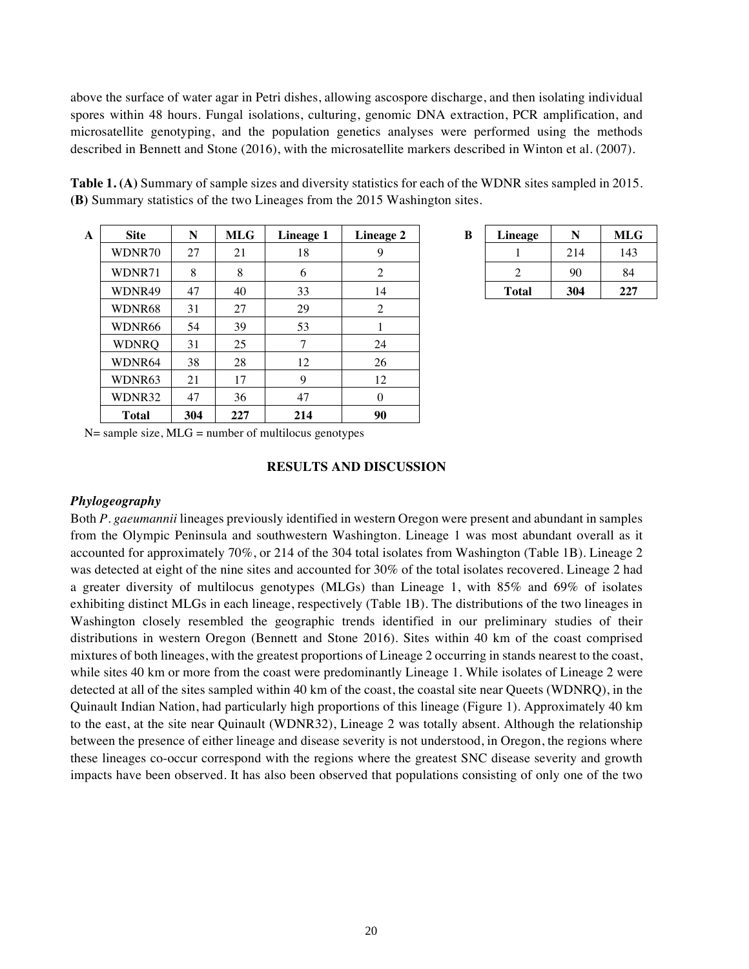above the surface of water agar in Petri dishes, allowing ascospore discharge, and then isolating individual spores within 48 hours. Fungal isolations, culturing, genomic DNA extraction, PCR amplification, and microsatellite genotyping, and the population genetics analyses were performed using the methods described in Bennett and Stone (2016), with the microsatellite markers described in Winton et al. (2007).

| $\mathbf{A}$ | <b>Site</b>  | N   | <b>MLG</b> | <b>Lineage 1</b> | <b>Lineage 2</b> | B | Lineage      | N   | <b>MLG</b> |
|--------------|--------------|-----|------------|------------------|------------------|---|--------------|-----|------------|
|              | WDNR70       | 27  | 21         | 18               | 9                |   |              | 214 | 143        |
|              | WDNR71       | 8   | 8          | 6                | 2                |   | 2            | 90  | 84         |
|              | WDNR49       | 47  | 40         | 33               | 14               |   | <b>Total</b> | 304 | 227        |
|              | WDNR68       | 31  | 27         | 29               | 2                |   |              |     |            |
|              | WDNR66       | 54  | 39         | 53               |                  |   |              |     |            |
|              | <b>WDNRQ</b> | 31  | 25         | 7                | 24               |   |              |     |            |
|              | WDNR64       | 38  | 28         | 12               | 26               |   |              |     |            |
|              | WDNR63       | 21  | 17         | 9                | 12               |   |              |     |            |
|              | WDNR32       | 47  | 36         | 47               | $\theta$         |   |              |     |            |
|              | <b>Total</b> | 304 | 227        | 214              | 90               |   |              |     |            |

| <b>Table 1. (A)</b> Summary of sample sizes and diversity statistics for each of the WDNR sites sampled in 2015. |
|------------------------------------------------------------------------------------------------------------------|
| <b>(B)</b> Summary statistics of the two Lineages from the 2015 Washington sites.                                |

| В | Lineage      |     | MLG |  |
|---|--------------|-----|-----|--|
|   |              | 214 | 143 |  |
|   |              | 90  | 84  |  |
|   | <b>Total</b> | 304 | 227 |  |

 $N=$  sample size,  $MLG =$  number of multilocus genotypes

#### **RESULTS AND DISCUSSION**

#### *Phylogeography*

Both *P. gaeumannii* lineages previously identified in western Oregon were present and abundant in samples from the Olympic Peninsula and southwestern Washington. Lineage 1 was most abundant overall as it accounted for approximately 70%, or 214 of the 304 total isolates from Washington (Table 1B). Lineage 2 was detected at eight of the nine sites and accounted for 30% of the total isolates recovered. Lineage 2 had a greater diversity of multilocus genotypes (MLGs) than Lineage 1, with 85% and 69% of isolates exhibiting distinct MLGs in each lineage, respectively (Table 1B). The distributions of the two lineages in Washington closely resembled the geographic trends identified in our preliminary studies of their distributions in western Oregon (Bennett and Stone 2016). Sites within 40 km of the coast comprised mixtures of both lineages, with the greatest proportions of Lineage 2 occurring in stands nearest to the coast, while sites 40 km or more from the coast were predominantly Lineage 1. While isolates of Lineage 2 were detected at all of the sites sampled within 40 km of the coast, the coastal site near Queets (WDNRQ), in the Quinault Indian Nation, had particularly high proportions of this lineage (Figure 1). Approximately 40 km to the east, at the site near Quinault (WDNR32), Lineage 2 was totally absent. Although the relationship between the presence of either lineage and disease severity is not understood, in Oregon, the regions where these lineages co-occur correspond with the regions where the greatest SNC disease severity and growth impacts have been observed. It has also been observed that populations consisting of only one of the two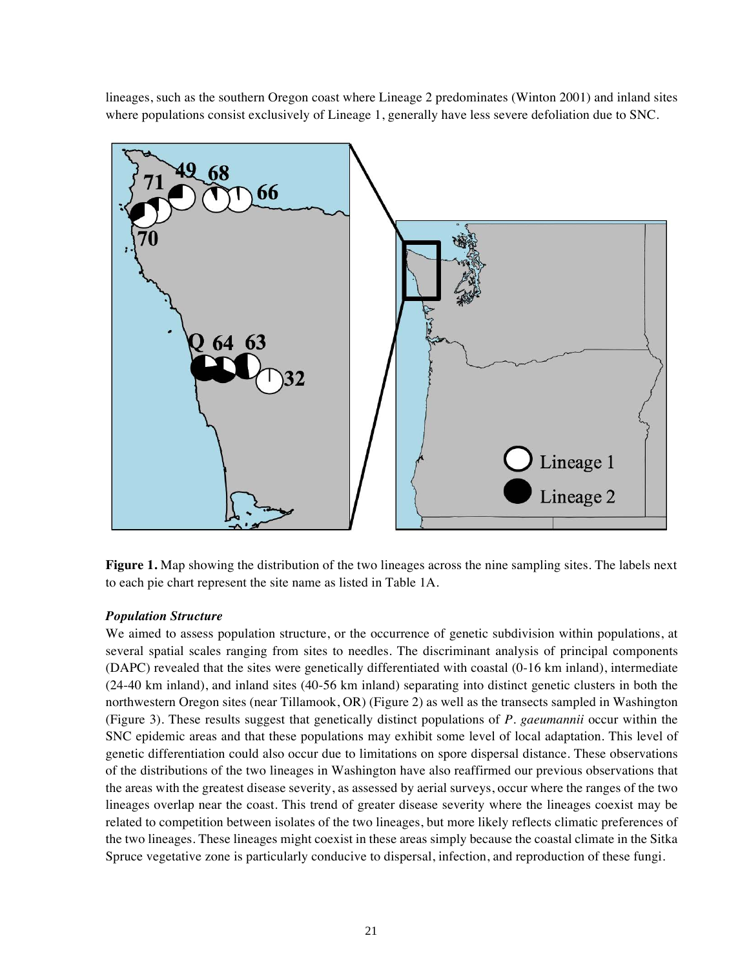lineages, such as the southern Oregon coast where Lineage 2 predominates (Winton 2001) and inland sites where populations consist exclusively of Lineage 1, generally have less severe defoliation due to SNC.



**Figure 1.** Map showing the distribution of the two lineages across the nine sampling sites. The labels next to each pie chart represent the site name as listed in Table 1A.

## *Population Structure*

We aimed to assess population structure, or the occurrence of genetic subdivision within populations, at several spatial scales ranging from sites to needles. The discriminant analysis of principal components (DAPC) revealed that the sites were genetically differentiated with coastal (0-16 km inland), intermediate (24-40 km inland), and inland sites (40-56 km inland) separating into distinct genetic clusters in both the northwestern Oregon sites (near Tillamook, OR) (Figure 2) as well as the transects sampled in Washington (Figure 3). These results suggest that genetically distinct populations of *P. gaeumannii* occur within the SNC epidemic areas and that these populations may exhibit some level of local adaptation. This level of genetic differentiation could also occur due to limitations on spore dispersal distance. These observations of the distributions of the two lineages in Washington have also reaffirmed our previous observations that the areas with the greatest disease severity, as assessed by aerial surveys, occur where the ranges of the two lineages overlap near the coast. This trend of greater disease severity where the lineages coexist may be related to competition between isolates of the two lineages, but more likely reflects climatic preferences of the two lineages. These lineages might coexist in these areas simply because the coastal climate in the Sitka Spruce vegetative zone is particularly conducive to dispersal, infection, and reproduction of these fungi.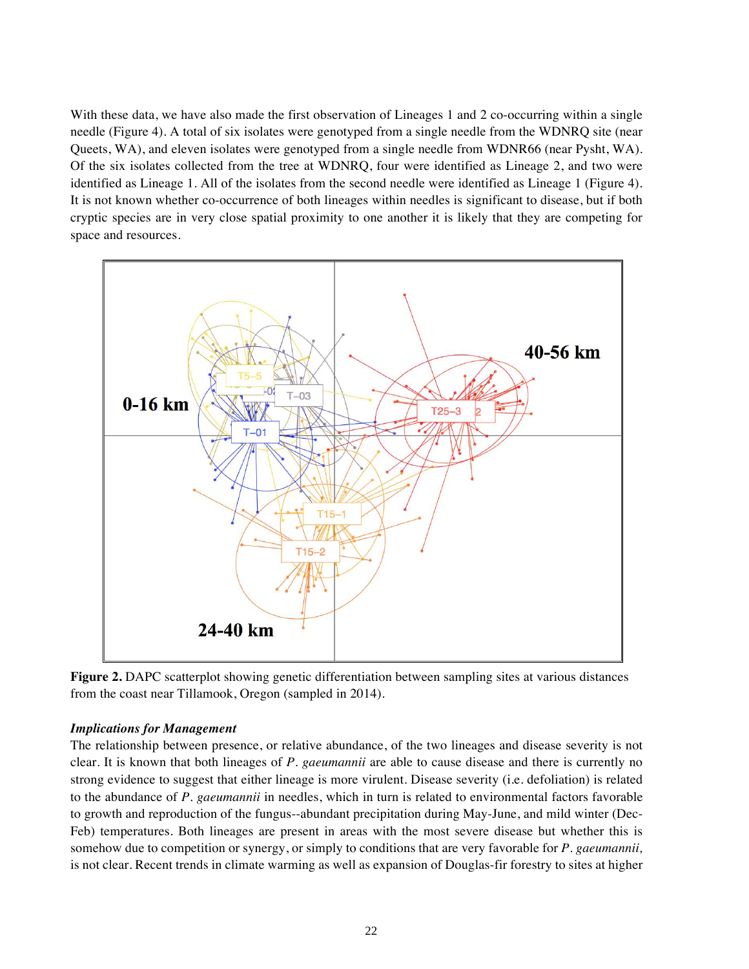With these data, we have also made the first observation of Lineages 1 and 2 co-occurring within a single needle (Figure 4). A total of six isolates were genotyped from a single needle from the WDNRQ site (near Queets, WA), and eleven isolates were genotyped from a single needle from WDNR66 (near Pysht, WA). Of the six isolates collected from the tree at WDNRQ, four were identified as Lineage 2, and two were identified as Lineage 1. All of the isolates from the second needle were identified as Lineage 1 (Figure 4). It is not known whether co-occurrence of both lineages within needles is significant to disease, but if both cryptic species are in very close spatial proximity to one another it is likely that they are competing for space and resources.



**Figure 2.** DAPC scatterplot showing genetic differentiation between sampling sites at various distances from the coast near Tillamook, Oregon (sampled in 2014).

### *Implications for Management*

The relationship between presence, or relative abundance, of the two lineages and disease severity is not clear. It is known that both lineages of *P. gaeumannii* are able to cause disease and there is currently no strong evidence to suggest that either lineage is more virulent. Disease severity (i.e. defoliation) is related to the abundance of *P. gaeumannii* in needles, which in turn is related to environmental factors favorable to growth and reproduction of the fungus--abundant precipitation during May-June, and mild winter (Dec-Feb) temperatures. Both lineages are present in areas with the most severe disease but whether this is somehow due to competition or synergy, or simply to conditions that are very favorable for *P. gaeumannii,* is not clear. Recent trends in climate warming as well as expansion of Douglas-fir forestry to sites at higher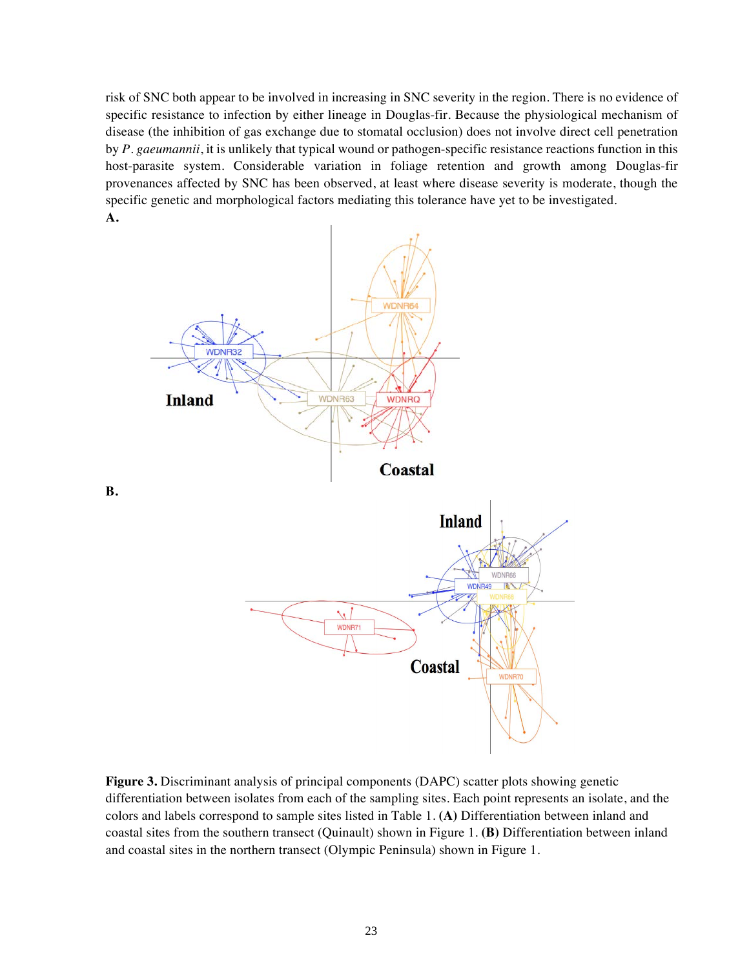risk of SNC both appear to be involved in increasing in SNC severity in the region. There is no evidence of specific resistance to infection by either lineage in Douglas-fir. Because the physiological mechanism of disease (the inhibition of gas exchange due to stomatal occlusion) does not involve direct cell penetration by *P. gaeumannii*, it is unlikely that typical wound or pathogen-specific resistance reactions function in this host-parasite system. Considerable variation in foliage retention and growth among Douglas-fir provenances affected by SNC has been observed, at least where disease severity is moderate, though the specific genetic and morphological factors mediating this tolerance have yet to be investigated. **A.** 



**B.** 

**Figure 3.** Discriminant analysis of principal components (DAPC) scatter plots showing genetic differentiation between isolates from each of the sampling sites. Each point represents an isolate, and the colors and labels correspond to sample sites listed in Table 1. **(A)** Differentiation between inland and coastal sites from the southern transect (Quinault) shown in Figure 1. **(B)** Differentiation between inland and coastal sites in the northern transect (Olympic Peninsula) shown in Figure 1.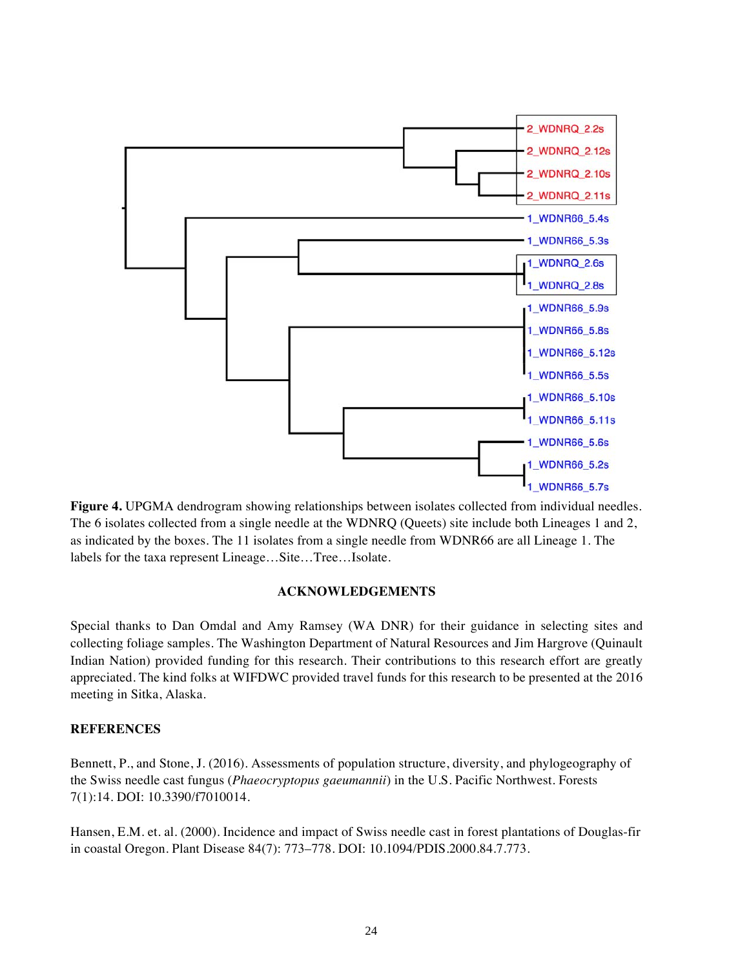

**Figure 4.** UPGMA dendrogram showing relationships between isolates collected from individual needles. The 6 isolates collected from a single needle at the WDNRQ (Queets) site include both Lineages 1 and 2, as indicated by the boxes. The 11 isolates from a single needle from WDNR66 are all Lineage 1. The labels for the taxa represent Lineage…Site…Tree…Isolate.

## **ACKNOWLEDGEMENTS**

Special thanks to Dan Omdal and Amy Ramsey (WA DNR) for their guidance in selecting sites and collecting foliage samples. The Washington Department of Natural Resources and Jim Hargrove (Quinault Indian Nation) provided funding for this research. Their contributions to this research effort are greatly appreciated. The kind folks at WIFDWC provided travel funds for this research to be presented at the 2016 meeting in Sitka, Alaska.

### **REFERENCES**

Bennett, P., and Stone, J. (2016). Assessments of population structure, diversity, and phylogeography of the Swiss needle cast fungus (*Phaeocryptopus gaeumannii*) in the U.S. Pacific Northwest. Forests 7(1):14. DOI: 10.3390/f7010014.

Hansen, E.M. et. al. (2000). Incidence and impact of Swiss needle cast in forest plantations of Douglas-fir in coastal Oregon. Plant Disease 84(7): 773–778. DOI: 10.1094/PDIS.2000.84.7.773.